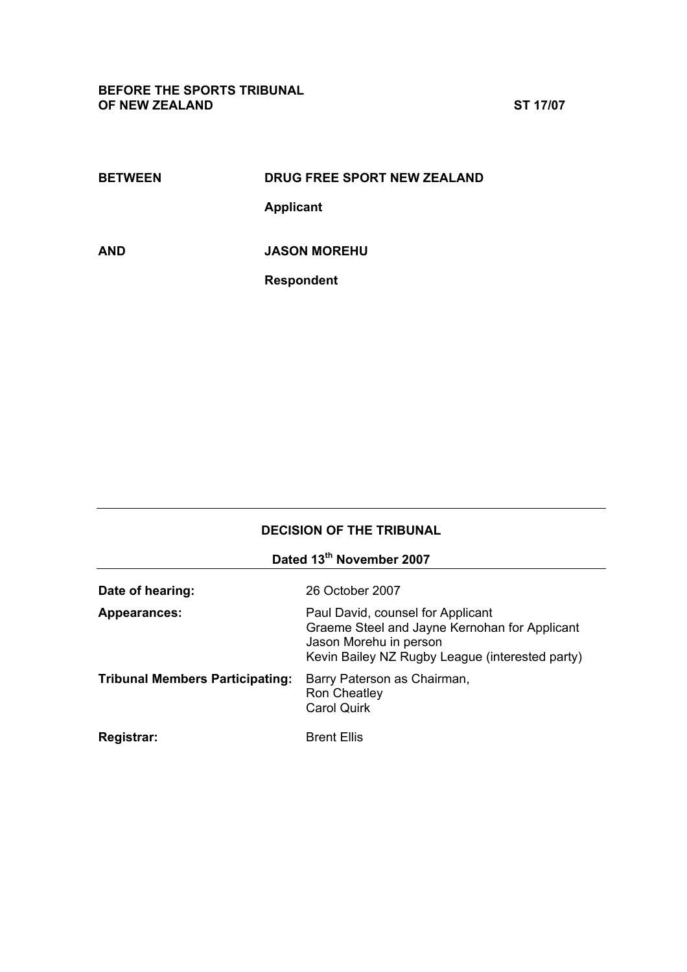**BETWEEN DRUG FREE SPORT NEW ZEALAND** 

 **Applicant** 

**AND JASON MOREHU** 

 **Respondent** 

| <b>DECISION OF THE TRIBUNAL</b><br>Dated 13th November 2007 |                                                                                                                                                                 |
|-------------------------------------------------------------|-----------------------------------------------------------------------------------------------------------------------------------------------------------------|
|                                                             |                                                                                                                                                                 |
| <b>Appearances:</b>                                         | Paul David, counsel for Applicant<br>Graeme Steel and Jayne Kernohan for Applicant<br>Jason Morehu in person<br>Kevin Bailey NZ Rugby League (interested party) |
| <b>Tribunal Members Participating:</b>                      | Barry Paterson as Chairman,<br><b>Ron Cheatley</b><br><b>Carol Quirk</b>                                                                                        |
| <b>Registrar:</b>                                           | <b>Brent Ellis</b>                                                                                                                                              |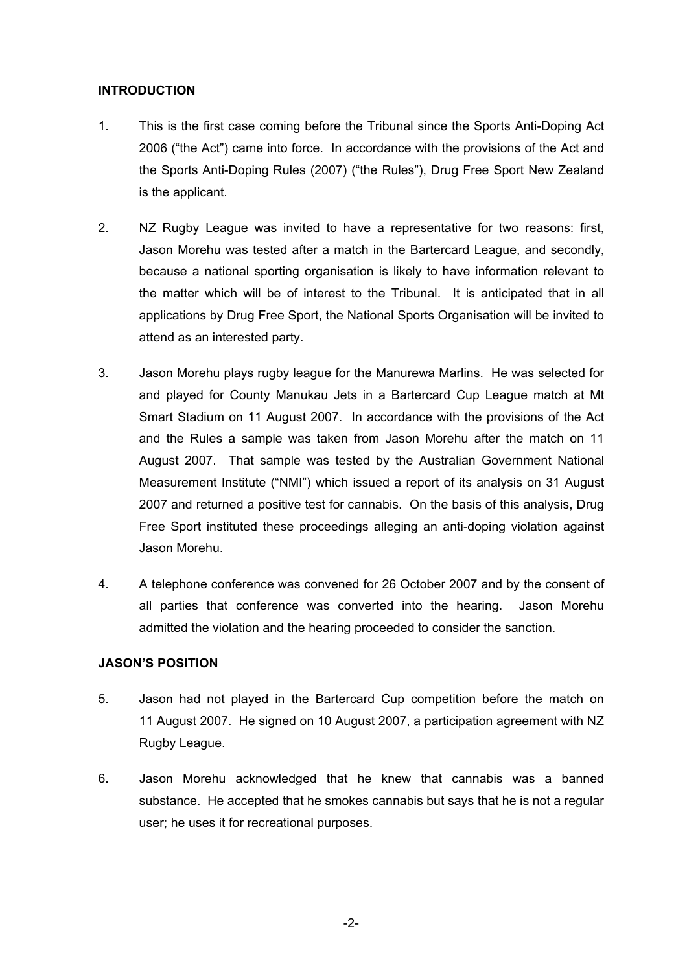## **INTRODUCTION**

- 1. This is the first case coming before the Tribunal since the Sports Anti-Doping Act 2006 ("the Act") came into force. In accordance with the provisions of the Act and the Sports Anti-Doping Rules (2007) ("the Rules"), Drug Free Sport New Zealand is the applicant.
- 2. NZ Rugby League was invited to have a representative for two reasons: first, Jason Morehu was tested after a match in the Bartercard League, and secondly, because a national sporting organisation is likely to have information relevant to the matter which will be of interest to the Tribunal. It is anticipated that in all applications by Drug Free Sport, the National Sports Organisation will be invited to attend as an interested party.
- 3. Jason Morehu plays rugby league for the Manurewa Marlins. He was selected for and played for County Manukau Jets in a Bartercard Cup League match at Mt Smart Stadium on 11 August 2007. In accordance with the provisions of the Act and the Rules a sample was taken from Jason Morehu after the match on 11 August 2007. That sample was tested by the Australian Government National Measurement Institute ("NMI") which issued a report of its analysis on 31 August 2007 and returned a positive test for cannabis. On the basis of this analysis, Drug Free Sport instituted these proceedings alleging an anti-doping violation against Jason Morehu.
- 4. A telephone conference was convened for 26 October 2007 and by the consent of all parties that conference was converted into the hearing. Jason Morehu admitted the violation and the hearing proceeded to consider the sanction.

## **JASON'S POSITION**

- 5. Jason had not played in the Bartercard Cup competition before the match on 11 August 2007. He signed on 10 August 2007, a participation agreement with NZ Rugby League.
- 6. Jason Morehu acknowledged that he knew that cannabis was a banned substance. He accepted that he smokes cannabis but says that he is not a regular user; he uses it for recreational purposes.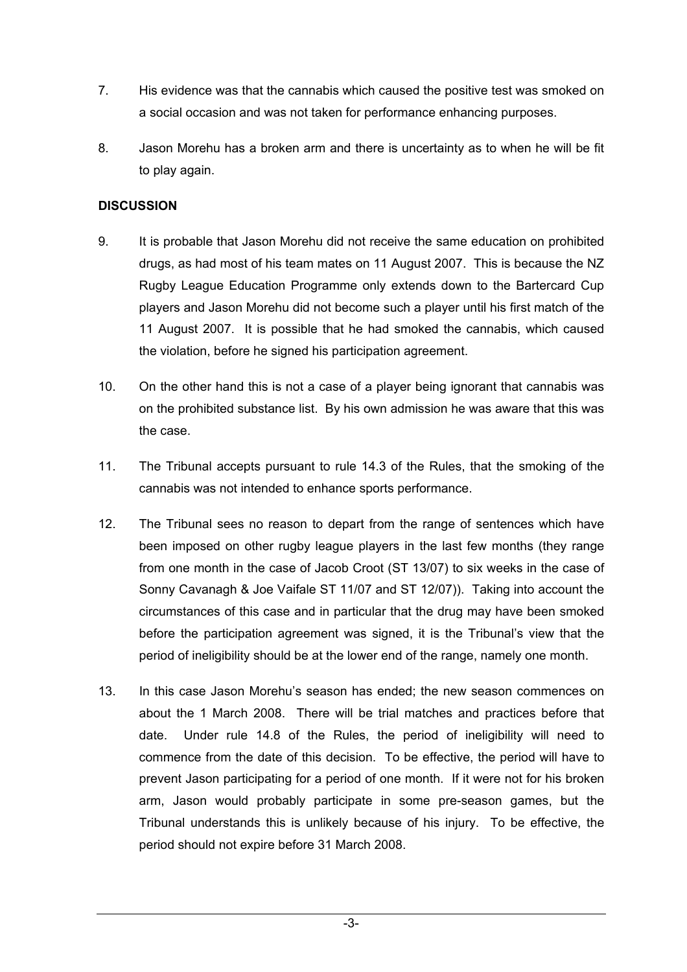- 7. His evidence was that the cannabis which caused the positive test was smoked on a social occasion and was not taken for performance enhancing purposes.
- 8. Jason Morehu has a broken arm and there is uncertainty as to when he will be fit to play again.

## **DISCUSSION**

- 9. It is probable that Jason Morehu did not receive the same education on prohibited drugs, as had most of his team mates on 11 August 2007. This is because the NZ Rugby League Education Programme only extends down to the Bartercard Cup players and Jason Morehu did not become such a player until his first match of the 11 August 2007. It is possible that he had smoked the cannabis, which caused the violation, before he signed his participation agreement.
- 10. On the other hand this is not a case of a player being ignorant that cannabis was on the prohibited substance list. By his own admission he was aware that this was the case.
- 11. The Tribunal accepts pursuant to rule 14.3 of the Rules, that the smoking of the cannabis was not intended to enhance sports performance.
- 12. The Tribunal sees no reason to depart from the range of sentences which have been imposed on other rugby league players in the last few months (they range from one month in the case of Jacob Croot (ST 13/07) to six weeks in the case of Sonny Cavanagh & Joe Vaifale ST 11/07 and ST 12/07)). Taking into account the circumstances of this case and in particular that the drug may have been smoked before the participation agreement was signed, it is the Tribunal's view that the period of ineligibility should be at the lower end of the range, namely one month.
- 13. In this case Jason Morehu's season has ended; the new season commences on about the 1 March 2008. There will be trial matches and practices before that date. Under rule 14.8 of the Rules, the period of ineligibility will need to commence from the date of this decision. To be effective, the period will have to prevent Jason participating for a period of one month. If it were not for his broken arm, Jason would probably participate in some pre-season games, but the Tribunal understands this is unlikely because of his injury. To be effective, the period should not expire before 31 March 2008.